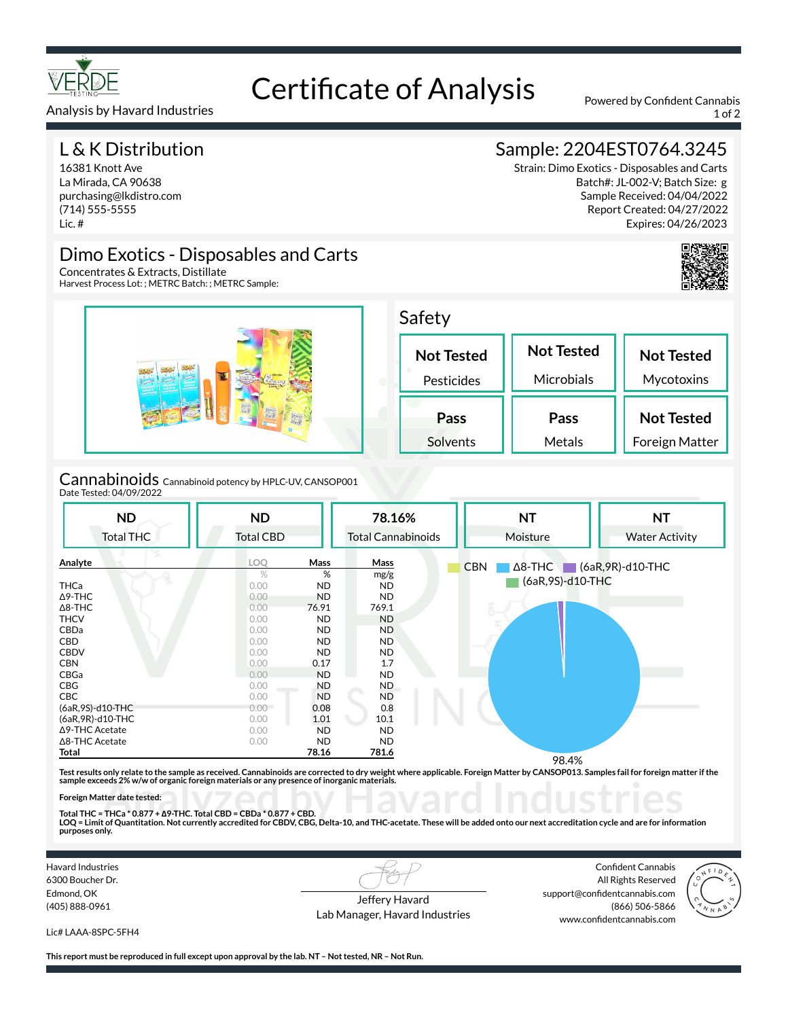

# Certificate of Analysis Powered by Confident Cannabis

Analysis by Havard Industries 1 of 2

## L & K Distribution

16381 Knott Ave La Mirada, CA 90638 purchasing@lkdistro.com (714) 555-5555 Lic. #

# Sample: 2204EST0764.3245

Strain: Dimo Exotics - Disposables and Carts Batch#: JL-002-V; Batch Size: g Sample Received: 04/04/2022 Report Created: 04/27/2022 Expires: 04/26/2023



## Dimo Exotics - Disposables and Carts

Concentrates & Extracts, Distillate Harvest Process Lot: ; METRC Batch: ; METRC Sample:



Cannabinoids Cannabinoid potency by HPLC-UV, CANSOP001 Date Tested: 04/09/2022

| <b>ND</b><br><b>Total THC</b> | <b>ND</b><br><b>Total CBD</b> |           | 78.16%<br><b>Total Cannabinoids</b> | <b>NT</b><br><b>NT</b><br>Moisture<br><b>Water Activity</b>   |  |
|-------------------------------|-------------------------------|-----------|-------------------------------------|---------------------------------------------------------------|--|
| Analyte                       | <b>LOQ</b>                    | Mass      | Mass                                | $\triangle$ 8-THC $\triangle$ (6aR, 9R)-d10-THC<br><b>CBN</b> |  |
|                               | %                             | %         | mg/g                                | (6aR, 9S)-d10-THC                                             |  |
| <b>THCa</b>                   | 0.00                          | <b>ND</b> | ND.                                 |                                                               |  |
| $\Delta$ 9-THC                | 0.00                          | ND        | ND.                                 |                                                               |  |
| $\Delta$ 8-THC                | 0.00                          | 76.91     | 769.1                               |                                                               |  |
| <b>THCV</b>                   | 0.00                          | ND        | <b>ND</b>                           |                                                               |  |
| CBDa                          | 0.00                          | ND        | ND.                                 |                                                               |  |
| CBD                           | 0.00                          | <b>ND</b> | ND.                                 |                                                               |  |
| <b>CBDV</b>                   | 0.00                          | <b>ND</b> | <b>ND</b>                           |                                                               |  |
| <b>CBN</b>                    | 0.00                          | 0.17      | 1.7                                 |                                                               |  |
| CBGa                          | 0.00                          | <b>ND</b> | <b>ND</b>                           |                                                               |  |
| CBG                           | 0.00                          | <b>ND</b> | ND.                                 |                                                               |  |
| <b>CBC</b>                    | 0.00                          | <b>ND</b> | ND                                  |                                                               |  |
| (6aR, 9S)-d10-THC             | 0.00                          | 0.08      | 0.8                                 |                                                               |  |
| (6aR, 9R)-d10-THC             | 0.00                          | 1.01      | 10.1                                |                                                               |  |
| ∆9-THC Acetate                | 0.00                          | ND        | <b>ND</b>                           |                                                               |  |
| ∆8-THC Acetate                | 0.00                          | ND        | ND.                                 |                                                               |  |
| Total                         |                               | 78.16     | 781.6                               |                                                               |  |
|                               |                               |           |                                     | 98.4%                                                         |  |

Test results only relate to the sample as received. Cannabinoids are corrected to dry weight where applicable. Foreign Matter by CANSOP013. Samples fail for foreign matter if the<br>sample exceeds 2% w/w of organic foreign ma

#### **Foreign Matter date tested:**

sample exceeds 2% w/w of organic foreign materials or any presence of inorganic materials.<br>Foreign Matter date tested:<br>Total THC = THCa \* 0.877 + Δ9-THC. Total CBD = CBDa \* 0.877 + CBD.<br>LOQ = Limit of Quantitation. Not cur **purposes only.**

Havard Industries 6300 Boucher Dr. Edmond, OK (405) 888-0961

Jeffery Havard Lab Manager, Havard Industries

Confident Cannabis All Rights Reserved support@confidentcannabis.com (866) 506-5866 www.confidentcannabis.com



Lic# LAAA-8SPC-5FH4

**This report must be reproduced in full except upon approval by the lab. NT – Not tested, NR – Not Run.**